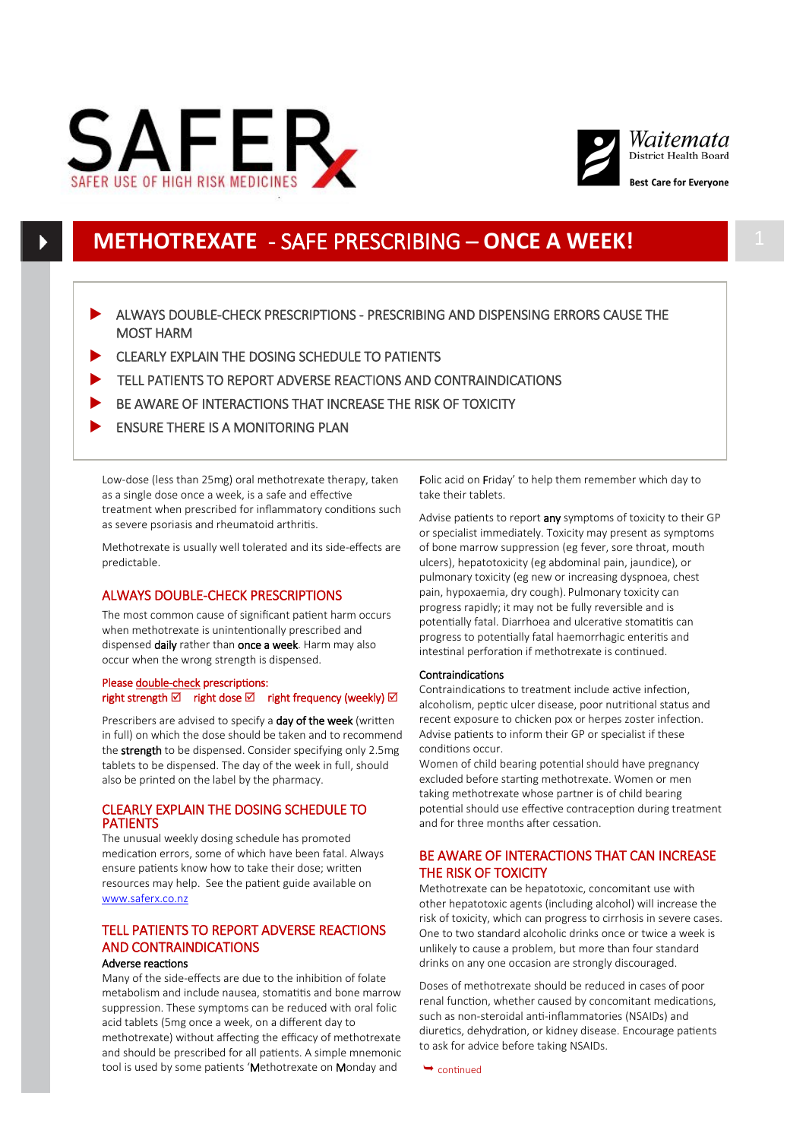



# **METHOTREXATE** - SAFE PRESCRIBING – **ONCE A WEEK!** 1

- ALWAYS DOUBLE-CHECK PRESCRIPTIONS PRESCRIBING AND DISPENSING ERRORS CAUSE THE MOST HARM
- CLEARLY EXPLAIN THE DOSING SCHEDULE TO PATIENTS
- TELL PATIENTS TO REPORT ADVERSE REACTIONS AND CONTRAINDICATIONS
- BE AWARE OF INTERACTIONS THAT INCREASE THE RISK OF TOXICITY
- ENSURE THERE IS A MONITORING PLAN

Low-dose (less than 25mg) oral methotrexate therapy, taken as a single dose once a week, is a safe and effective treatment when prescribed for inflammatory conditions such as severe psoriasis and rheumatoid arthritis.

Methotrexate is usually well tolerated and its side-effects are predictable.

# ALWAYS DOUBLE-CHECK PRESCRIPTIONS

The most common cause of significant patient harm occurs when methotrexate is unintentionally prescribed and dispensed daily rather than once a week. Harm may also occur when the wrong strength is dispensed.

## Please double-check prescriptions: right strength  $\boxtimes$  right dose  $\boxtimes$  right frequency (weekly)  $\boxtimes$

Prescribers are advised to specify a day of the week (written in full) on which the dose should be taken and to recommend the **strength** to be dispensed. Consider specifying only 2.5mg tablets to be dispensed. The day of the week in full, should also be printed on the label by the pharmacy.

## CLEARLY EXPLAIN THE DOSING SCHEDULE TO PATIENTS

The unusual weekly dosing schedule has promoted medication errors, some of which have been fatal. Always ensure patients know how to take their dose; written resources may help. See the patient guide available on [www.saferx.co.nz](http://www.saferx.co.nz/)

## TELL PATIENTS TO REPORT ADVERSE REACTIONS AND CONTRAINDICATIONS Adverse reactions

Many of the side-effects are due to the inhibition of folate metabolism and include nausea, stomatitis and bone marrow suppression. These symptoms can be reduced with oral folic acid tablets (5mg once a week, on a different day to methotrexate) without affecting the efficacy of methotrexate and should be prescribed for all patients. A simple mnemonic tool is used by some patients 'Methotrexate on Monday and

Folic acid on Friday' to help them remember which day to take their tablets.

Advise patients to report any symptoms of toxicity to their GP or specialist immediately. Toxicity may present as symptoms of bone marrow suppression (eg fever, sore throat, mouth ulcers), hepatotoxicity (eg abdominal pain, jaundice), or pulmonary toxicity (eg new or increasing dyspnoea, chest pain, hypoxaemia, dry cough). Pulmonary toxicity can progress rapidly; it may not be fully reversible and is potentially fatal. Diarrhoea and ulcerative stomatitis can progress to potentially fatal haemorrhagic enteritis and intestinal perforation if methotrexate is continued.

## Contraindications

Contraindications to treatment include active infection, alcoholism, peptic ulcer disease, poor nutritional status and recent exposure to chicken pox or herpes zoster infection. Advise patients to inform their GP or specialist if these conditions occur.

Women of child bearing potential should have pregnancy excluded before starting methotrexate. Women or men taking methotrexate whose partner is of child bearing potential should use effective contraception during treatment and for three months after cessation.

# BE AWARE OF INTERACTIONS THAT CAN INCREASE THE RISK OF TOXICITY

Methotrexate can be hepatotoxic, concomitant use with other hepatotoxic agents (including alcohol) will increase the risk of toxicity, which can progress to cirrhosis in severe cases. One to two standard alcoholic drinks once or twice a week is unlikely to cause a problem, but more than four standard drinks on any one occasion are strongly discouraged.

Doses of methotrexate should be reduced in cases of poor renal function, whether caused by concomitant medications, such as non-steroidal anti-inflammatories (NSAIDs) and diuretics, dehydration, or kidney disease. Encourage patients to ask for advice before taking NSAIDs.

 $\rightarrow$  continued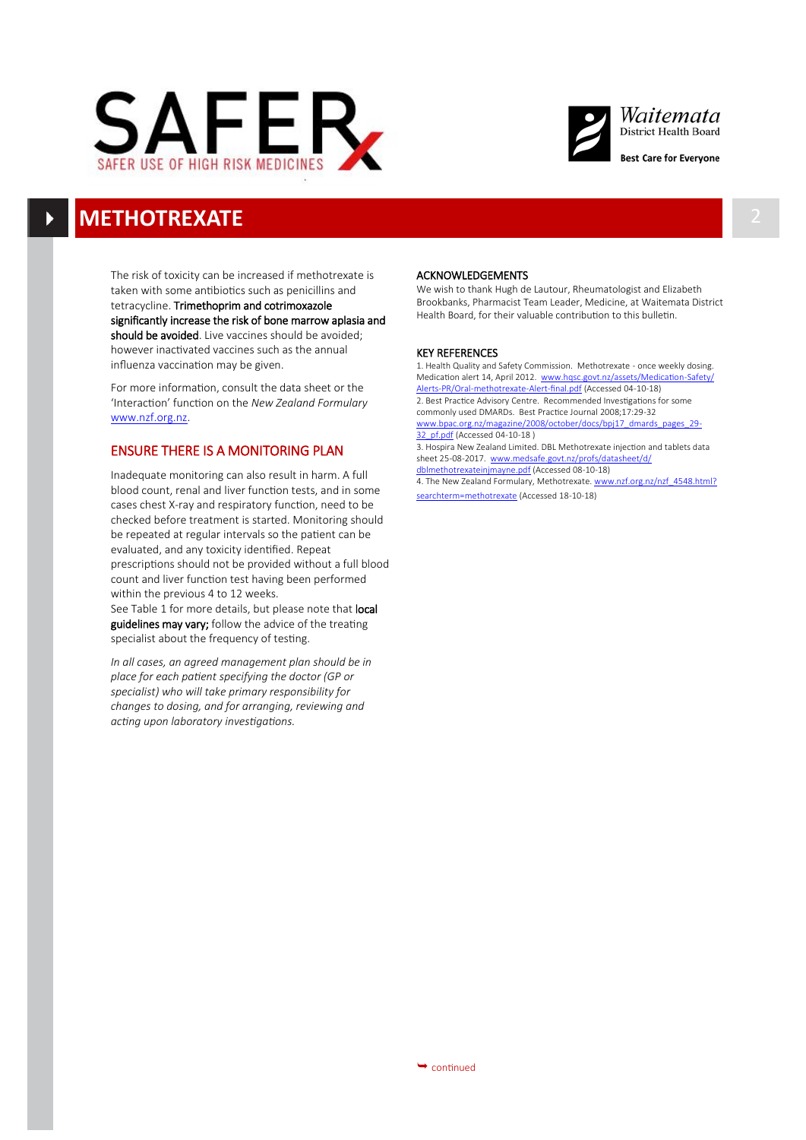



# **METHOTREXATE** 2

The risk of toxicity can be increased if methotrexate is taken with some antibiotics such as penicillins and tetracycline. Trimethoprim and cotrimoxazole significantly increase the risk of bone marrow aplasia and should be avoided. Live vaccines should be avoided; however inactivated vaccines such as the annual influenza vaccination may be given.

For more information, consult the data sheet or the 'Interaction' function on the *New Zealand Formulary* [www.nzf.org.nz.](http://www.nzf.org.nz) 

# ENSURE THERE IS A MONITORING PLAN

Inadequate monitoring can also result in harm. A full blood count, renal and liver function tests, and in some cases chest X-ray and respiratory function, need to be checked before treatment is started. Monitoring should be repeated at regular intervals so the patient can be evaluated, and any toxicity identified. Repeat prescriptions should not be provided without a full blood count and liver function test having been performed within the previous 4 to 12 weeks.

See Table 1 for more details, but please note that local guidelines may vary; follow the advice of the treating specialist about the frequency of testing.

*In all cases, an agreed management plan should be in place for each patient specifying the doctor (GP or specialist) who will take primary responsibility for changes to dosing, and for arranging, reviewing and acting upon laboratory investigations.*

### ACKNOWLEDGEMENTS

We wish to thank Hugh de Lautour, Rheumatologist and Elizabeth Brookbanks, Pharmacist Team Leader, Medicine, at Waitemata District Health Board, for their valuable contribution to this bulletin.

#### KEY REFERENCES

1. Health Quality and Safety Commission. Methotrexate - once weekly dosing. Medication alert 14, April 2012. [www.hqsc.govt.nz/assets/Medication](file:///G:/Funding%20Team/QUM/Projects/SafeRx/Materials/Methotrexate/Current/www.hqsc.govt.nz/assets/Medication-Safety/Alerts-PR/Oral-methotrexate-Alert-final.pdf)-Safety/ Alerts-PR/Oral-[methotrexate](file:///G:/Funding%20Team/QUM/Projects/SafeRx/Materials/Methotrexate/Current/www.hqsc.govt.nz/assets/Medication-Safety/Alerts-PR/Oral-methotrexate-Alert-final.pdf)-Alert-final.pdf (Accessed 04-10-18) 2. Best Practice Advisory Centre. Recommended Investigations for some [commonly used DMARDs.](http://www.bpac.org.nz/magazine/2008/october/DMARDsTables.asp) Best Practice Journal 2008;17:29-32 www.bpac.org.nz/magazine/2008/october/docs/bpi17\_dmards [32\\_pf.pdf](file:///G:/Funding%20Team/QUM/Projects/SafeRx/Materials/Methotrexate/Current/www.bpac.org.nz/magazine/2008/october/docs/bpj17_dmards_pages_29-32_pf.pdf) (Accessed 04-10-18 ) 3. Hospira New Zealand Limited. DBL Methotrexate injection and tablets data sheet 25-08-2017. [www.medsafe.govt.nz/profs/datasheet/d/](file:///G:/Funding%20Team/QUM/Projects/SafeRx/Materials/Methotrexate/Current/www.medsafe.govt.nz/profs/datasheet/d/dblmethotrexateinjmayne.pdf) [dblmethotrexateinjmayne.pdf](file:///G:/Funding%20Team/QUM/Projects/SafeRx/Materials/Methotrexate/Current/www.medsafe.govt.nz/profs/datasheet/d/dblmethotrexateinjmayne.pdf) (Accessed 08-10-18)

4. The New Zealand Formulary, Methotrexate. [www.nzf.org.nz/nzf\\_4548.html?](file:///G:/Funding%20Team/QUM/Projects/SafeRx/Materials/Methotrexate/Current/www.nzf.org.nz/nzf_4548.html?searchterm=methotrexate) [searchterm=methotrexate](file:///G:/Funding%20Team/QUM/Projects/SafeRx/Materials/Methotrexate/Current/www.nzf.org.nz/nzf_4548.html?searchterm=methotrexate) (Accessed 18-10-18)